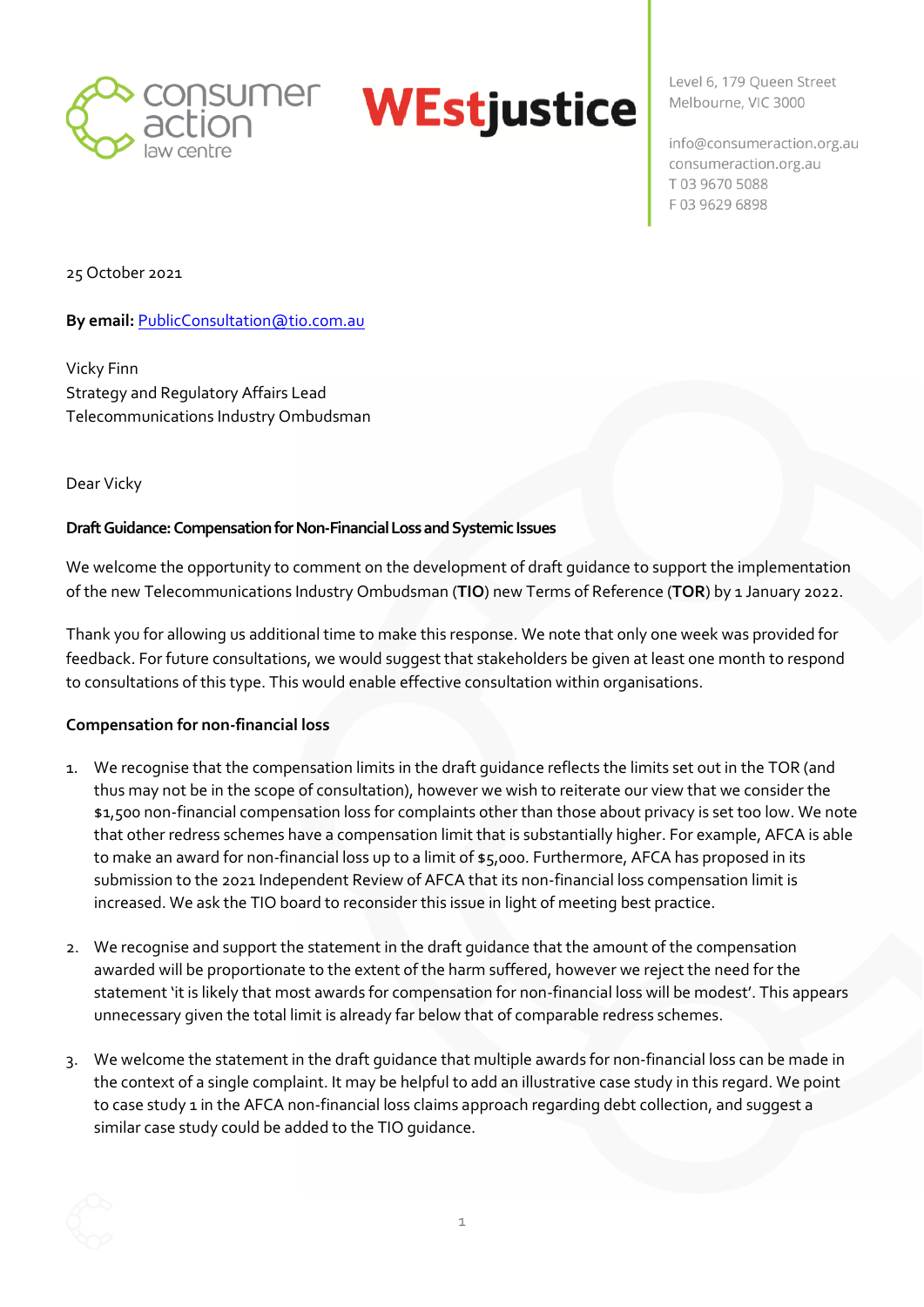



Level 6, 179 Oueen Street Melbourne, VIC 3000

info@consumeraction.org.au consumeraction.org.au T0396705088 F03 9629 6898

25 October 2021

**By email: [PublicConsultation@tio.com.au](mailto:PublicConsultation@tio.com.au)** 

Vicky Finn Strategy and Regulatory Affairs Lead Telecommunications Industry Ombudsman

Dear Vicky

## **Draft Guidance: Compensation for Non-Financial Loss and Systemic Issues**

We welcome the opportunity to comment on the development of draft guidance to support the implementation of the new Telecommunications Industry Ombudsman (**TIO**) new Terms of Reference (**TOR**) by 1 January 2022.

Thank you for allowing us additional time to make this response. We note that only one week was provided for feedback. For future consultations, we would suggest that stakeholders be given at least one month to respond to consultations of this type. This would enable effective consultation within organisations.

## **Compensation for non-financial loss**

- 1. We recognise that the compensation limits in the draft guidance reflects the limits set out in the TOR (and thus may not be in the scope of consultation), however we wish to reiterate our view that we consider the \$1,500 non-financial compensation loss for complaints other than those about privacy is set too low. We note that other redress schemes have a compensation limit that is substantially higher. For example, AFCA is able to make an award for non-financial loss up to a limit of \$5,000. Furthermore, AFCA has proposed in its submission to the 2021 Independent Review of AFCA that its non-financial loss compensation limit is increased. We ask the TIO board to reconsider this issue in light of meeting best practice.
- 2. We recognise and support the statement in the draft guidance that the amount of the compensation awarded will be proportionate to the extent of the harm suffered, however we reject the need for the statement 'it is likely that most awards for compensation for non-financial loss will be modest'. This appears unnecessary given the total limit is already far below that of comparable redress schemes.
- 3. We welcome the statement in the draft guidance that multiple awards for non-financial loss can be made in the context of a single complaint. It may be helpful to add an illustrative case study in this regard. We point to case study 1 in the AFCA non-financial loss claims approach regarding debt collection, and suggest a similar case study could be added to the TIO guidance.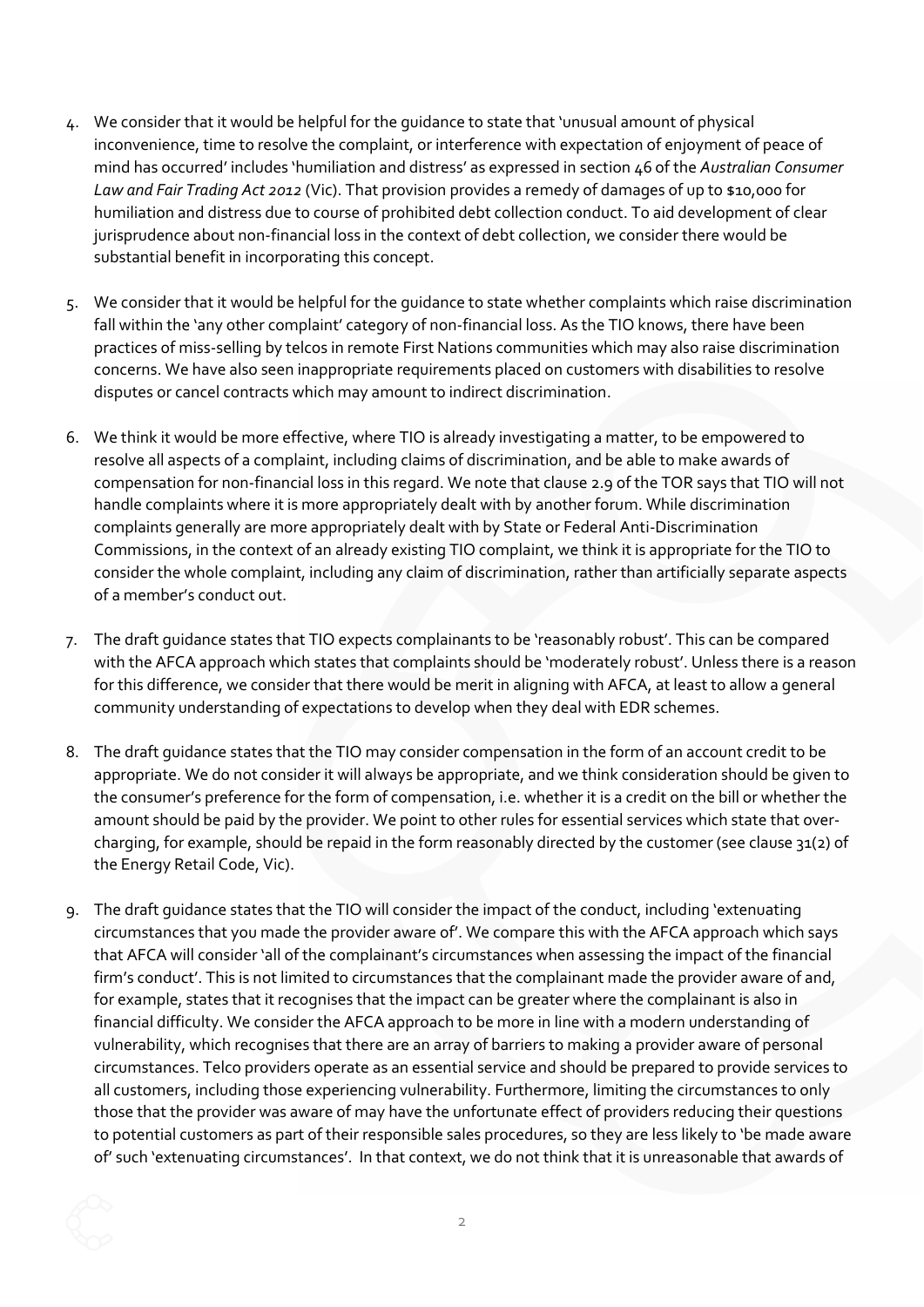- 4. We consider that it would be helpful for the guidance to state that 'unusual amount of physical inconvenience, time to resolve the complaint, or interference with expectation of enjoyment of peace of mind has occurred' includes 'humiliation and distress' as expressed in section 46 of the *Australian Consumer Law and Fair Trading Act 2012* (Vic). That provision provides a remedy of damages of up to \$10,000 for humiliation and distress due to course of prohibited debt collection conduct. To aid development of clear jurisprudence about non-financial loss in the context of debt collection, we consider there would be substantial benefit in incorporating this concept.
- 5. We consider that it would be helpful for the guidance to state whether complaints which raise discrimination fall within the 'any other complaint' category of non-financial loss. As the TIO knows, there have been practices of miss-selling by telcos in remote First Nations communities which may also raise discrimination concerns. We have also seen inappropriate requirements placed on customers with disabilities to resolve disputes or cancel contracts which may amount to indirect discrimination.
- 6. We think it would be more effective, where TIO is already investigating a matter, to be empowered to resolve all aspects of a complaint, including claims of discrimination, and be able to make awards of compensation for non-financial loss in this regard. We note that clause 2.9 of the TOR says that TIO will not handle complaints where it is more appropriately dealt with by another forum. While discrimination complaints generally are more appropriately dealt with by State or Federal Anti-Discrimination Commissions, in the context of an already existing TIO complaint, we think it is appropriate for the TIO to consider the whole complaint, including any claim of discrimination, rather than artificially separate aspects of a member's conduct out.
- 7. The draft guidance states that TIO expects complainants to be 'reasonably robust'. This can be compared with the AFCA approach which states that complaints should be 'moderately robust'. Unless there is a reason for this difference, we consider that there would be merit in aligning with AFCA, at least to allow a general community understanding of expectations to develop when they deal with EDR schemes.
- 8. The draft guidance states that the TIO may consider compensation in the form of an account credit to be appropriate. We do not consider it will always be appropriate, and we think consideration should be given to the consumer's preference for the form of compensation, i.e. whether it is a credit on the bill or whether the amount should be paid by the provider. We point to other rules for essential services which state that overcharging, for example, should be repaid in the form reasonably directed by the customer (see clause 31(2) of the Energy Retail Code, Vic).
- 9. The draft guidance states that the TIO will consider the impact of the conduct, including 'extenuating circumstances that you made the provider aware of'. We compare this with the AFCA approach which says that AFCA will consider 'all of the complainant's circumstances when assessing the impact of the financial firm's conduct'. This is not limited to circumstances that the complainant made the provider aware of and, for example, states that it recognises that the impact can be greater where the complainant is also in financial difficulty. We consider the AFCA approach to be more in line with a modern understanding of vulnerability, which recognises that there are an array of barriers to making a provider aware of personal circumstances. Telco providers operate as an essential service and should be prepared to provide services to all customers, including those experiencing vulnerability. Furthermore, limiting the circumstances to only those that the provider was aware of may have the unfortunate effect of providers reducing their questions to potential customers as part of their responsible sales procedures, so they are less likely to 'be made aware of' such 'extenuating circumstances'. In that context, we do not think that it is unreasonable that awards of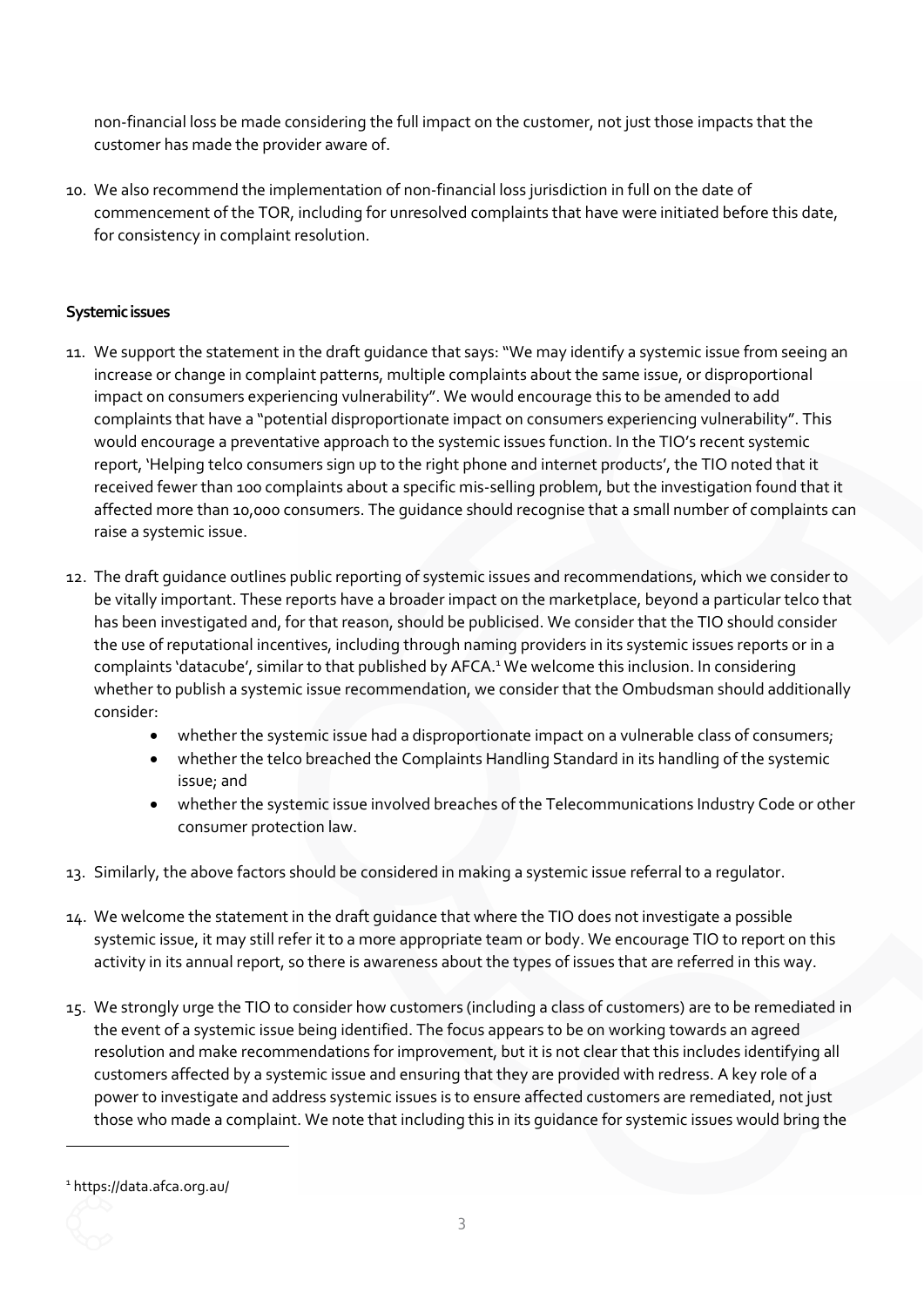non-financial loss be made considering the full impact on the customer, not just those impacts that the customer has made the provider aware of.

10. We also recommend the implementation of non-financial loss jurisdiction in full on the date of commencement of the TOR, including for unresolved complaints that have were initiated before this date, for consistency in complaint resolution.

## **Systemic issues**

- 11. We support the statement in the draft guidance that says:"We may identify a systemic issue from seeing an increase or change in complaint patterns, multiple complaints about the same issue, or disproportional impact on consumers experiencing vulnerability". We would encourage this to be amended to add complaints that have a "potential disproportionate impact on consumers experiencing vulnerability". This would encourage a preventative approach to the systemic issues function. In the TIO's recent systemic report, 'Helping telco consumers sign up to the right phone and internet products', the TIO noted that it received fewer than 100 complaints about a specific mis-selling problem, but the investigation found that it affected more than 10,000 consumers. The guidance should recognise that a small number of complaints can raise a systemic issue.
- 12. The draft guidance outlines public reporting of systemic issues and recommendations, which we consider to be vitally important. These reports have a broader impact on the marketplace, beyond a particular telco that has been investigated and, for that reason, should be publicised. We consider that the TIO should consider the use of reputational incentives, including through naming providers in its systemic issues reports or in a complaints 'datacube', similar to that published by AFCA. <sup>1</sup> We welcome this inclusion. In considering whether to publish a systemic issue recommendation, we consider that the Ombudsman should additionally consider:
	- whether the systemic issue had a disproportionate impact on a vulnerable class of consumers;
	- whether the telco breached the Complaints Handling Standard in its handling of the systemic issue; and
	- whether the systemic issue involved breaches of the Telecommunications Industry Code or other consumer protection law.
- 13. Similarly, the above factors should be considered in making a systemic issue referral to a regulator.
- 14. We welcome the statement in the draft guidance that where the TIO does not investigate a possible systemic issue, it may still refer it to a more appropriate team or body. We encourage TIO to report on this activity in its annual report, so there is awareness about the types of issues that are referred in this way.
- 15. We strongly urge the TIO to consider how customers (including a class of customers) are to be remediated in the event of a systemic issue being identified. The focus appears to be on working towards an agreed resolution and make recommendations for improvement, but it is not clear that this includes identifying all customers affected by a systemic issue and ensuring that they are provided with redress. A key role of a power to investigate and address systemic issues is to ensure affected customers are remediated, not just those who made a complaint. We note that including this in its guidance for systemic issues would bring the

<sup>1</sup> https://data.afca.org.au/